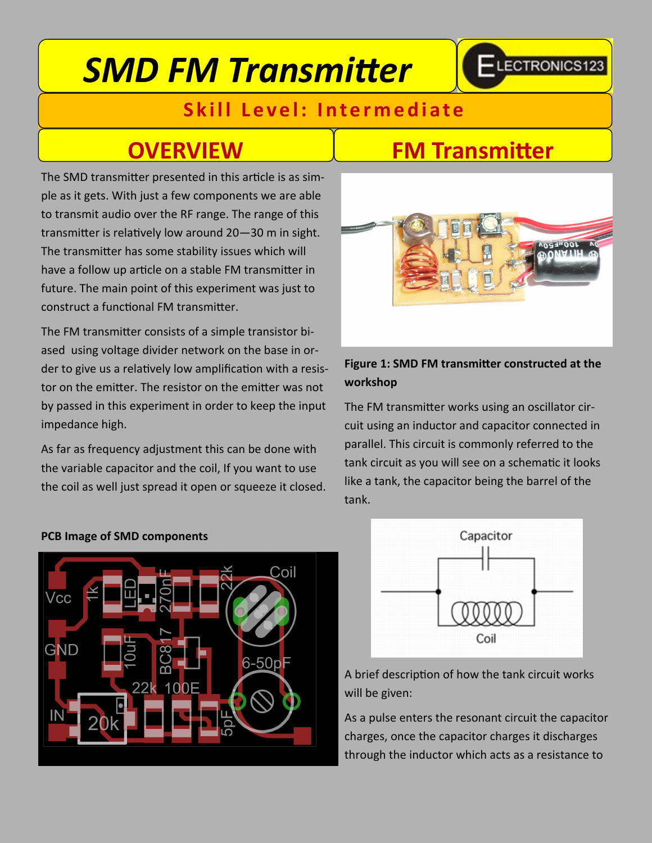# *SMD FM Transmitter*

## -LECTRONICS123

### **Skill Level: Intermediate**

The SMD transmitter presented in this article is as simple as it gets. With just a few components we are able to transmit audio over the RF range. The range of this transmitter is relatively low around 20—30 m in sight. The transmitter has some stability issues which will have a follow up article on a stable FM transmitter in future. The main point of this experiment was just to construct a functional FM transmitter.

The FM transmitter consists of a simple transistor biased using voltage divider network on the base in order to give us a relatively low amplification with a resistor on the emitter. The resistor on the emitter was not by passed in this experiment in order to keep the input impedance high.

As far as frequency adjustment this can be done with the variable capacitor and the coil, If you want to use the coil as well just spread it open or squeeze it closed.

### **OVERVIEW FM Transmitter**



### **Figure 1: SMD FM transmitter constructed at the workshop**

The FM transmitter works using an oscillator circuit using an inductor and capacitor connected in parallel. This circuit is commonly referred to the tank circuit as you will see on a schematic it looks like a tank, the capacitor being the barrel of the tank.



#### **PCB Image of SMD components**



A brief description of how the tank circuit works will be given:

As a pulse enters the resonant circuit the capacitor charges, once the capacitor charges it discharges through the inductor which acts as a resistance to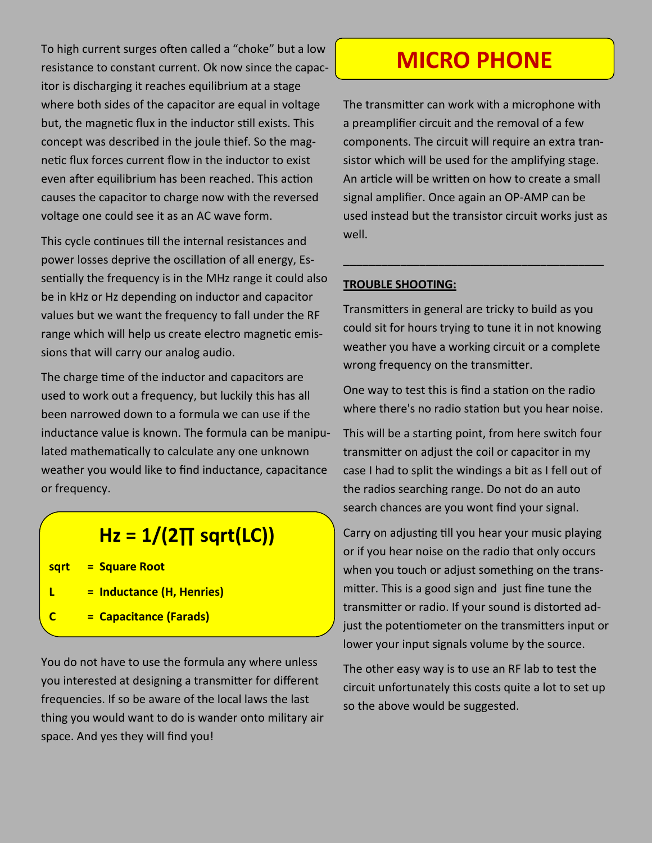To high current surges often called a "choke" but a low resistance to constant current. Ok now since the capacitor is discharging it reaches equilibrium at a stage where both sides of the capacitor are equal in voltage but, the magnetic flux in the inductor still exists. This concept was described in the joule thief. So the magnetic flux forces current flow in the inductor to exist even after equilibrium has been reached. This action causes the capacitor to charge now with the reversed voltage one could see it as an AC wave form.

This cycle continues till the internal resistances and power losses deprive the oscillation of all energy, Essentially the frequency is in the MHz range it could also be in kHz or Hz depending on inductor and capacitor values but we want the frequency to fall under the RF range which will help us create electro magnetic emissions that will carry our analog audio.

The charge time of the inductor and capacitors are used to work out a frequency, but luckily this has all been narrowed down to a formula we can use if the inductance value is known. The formula can be manipulated mathematically to calculate any one unknown weather you would like to find inductance, capacitance or frequency.

### **Hz = 1/(2∏ sqrt(LC))**

**sqrt = Square Root**

- **L = Inductance (H, Henries)**
- **C = Capacitance (Farads)**

You do not have to use the formula any where unless you interested at designing a transmitter for different frequencies. If so be aware of the local laws the last thing you would want to do is wander onto military air space. And yes they will find you!

### **MICRO PHONE**

The transmitter can work with a microphone with a preamplifier circuit and the removal of a few components. The circuit will require an extra transistor which will be used for the amplifying stage. An article will be written on how to create a small signal amplifier. Once again an OP-AMP can be used instead but the transistor circuit works just as well.

#### **TROUBLE SHOOTING:**

Transmitters in general are tricky to build as you could sit for hours trying to tune it in not knowing weather you have a working circuit or a complete wrong frequency on the transmitter.

\_\_\_\_\_\_\_\_\_\_\_\_\_\_\_\_\_\_\_\_\_\_\_\_\_\_\_\_\_\_\_\_\_\_\_\_\_\_\_\_\_

One way to test this is find a station on the radio where there's no radio station but you hear noise.

This will be a starting point, from here switch four transmitter on adjust the coil or capacitor in my case I had to split the windings a bit as I fell out of the radios searching range. Do not do an auto search chances are you wont find your signal.

Carry on adjusting till you hear your music playing or if you hear noise on the radio that only occurs when you touch or adjust something on the transmitter. This is a good sign and just fine tune the transmitter or radio. If your sound is distorted adjust the potentiometer on the transmitters input or lower your input signals volume by the source.

The other easy way is to use an RF lab to test the circuit unfortunately this costs quite a lot to set up so the above would be suggested.